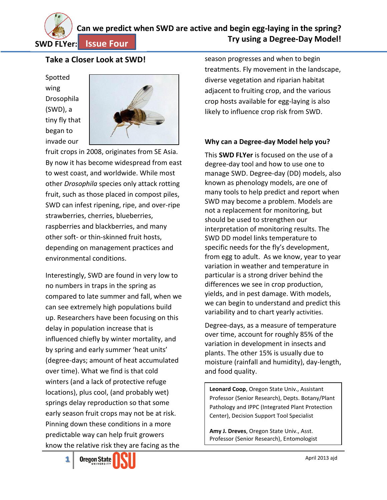

# **Can we predict when SWD are active and begin egg-laying in the spring? Try using a Degree-Day Model!**

**Issue Four**

# **Take a Closer Look at SWD!**

Spotted wing Drosophila (SWD), a tiny fly that began to invade our



fruit crops in 2008, originates from SE Asia. By now it has become widespread from east to west coast, and worldwide. While most other *Drosophila* species only attack rotting fruit, such as those placed in compost piles, SWD can infest ripening, ripe, and over-ripe strawberries, cherries, blueberries, raspberries and blackberries, and many other soft- or thin-skinned fruit hosts, depending on management practices and environmental conditions.

Interestingly, SWD are found in very low to no numbers in traps in the spring as compared to late summer and fall, when we can see extremely high populations build up. Researchers have been focusing on this delay in population increase that is influenced chiefly by winter mortality, and by spring and early summer 'heat units' (degree-days; amount of heat accumulated over time). What we find is that cold winters (and a lack of protective refuge locations), plus cool, (and probably wet) springs delay reproduction so that some early season fruit crops may not be at risk. Pinning down these conditions in a more predictable way can help fruit growers know the relative risk they are facing as the

season progresses and when to begin treatments. Fly movement in the landscape, diverse vegetation and riparian habitat adjacent to fruiting crop, and the various crop hosts available for egg-laying is also likely to influence crop risk from SWD.

### **Why can a Degree-day Model help you?**

This **SWD FLYer** is focused on the use of a degree-day tool and how to use one to manage SWD. Degree-day (DD) models, also known as phenology models, are one of many tools to help predict and report when SWD may become a problem. Models are not a replacement for monitoring, but should be used to strengthen our interpretation of monitoring results. The SWD DD model links temperature to specific needs for the fly's development, from egg to adult. As we know, year to year variation in weather and temperature in particular is a strong driver behind the differences we see in crop production, yields, and in pest damage. With models, we can begin to understand and predict this variability and to chart yearly activities.

Degree-days, as a measure of temperature over time, account for roughly 85% of the variation in development in insects and plants. The other 15% is usually due to moisture (rainfall and humidity), day-length, and food quality.

**Leonard Coop**, Oregon State Univ., Assistant Professor (Senior Research), Depts. Botany/Plant Pathology and IPPC (Integrated Plant Protection Center), Decision Support Tool Specialist

**Amy J. Dreves**, Oregon State Univ., Asst. Professor (Senior Research), Entomologist

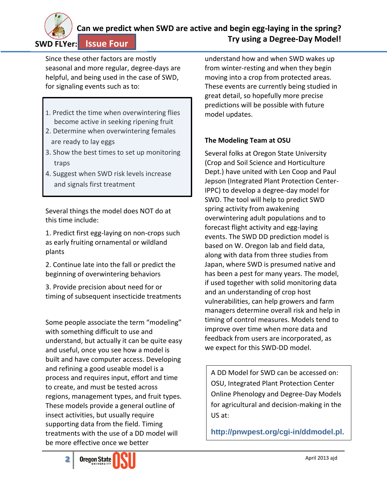

#### **Can we predict when SWD are active and begin egg-laying in the spring? Try using a Degree-Day Model! Issue Four**

Since these other factors are mostly seasonal and more regular, degree-days are helpful, and being used in the case of SWD, for signaling events such as to:

- 1. Predict the time when overwintering flies become active in seeking ripening fruit
- 2. Determine when overwintering females are ready to lay eggs
- 3. Show the best times to set up monitoring traps
- 4. Suggest when SWD risk levels increase and signals first treatment

Several things the model does NOT do at this time include:

1. Predict first egg-laying on non-crops such as early fruiting ornamental or wildland plants

2. Continue late into the fall or predict the beginning of overwintering behaviors

3. Provide precision about need for or timing of subsequent insecticide treatments

Some people associate the term "modeling" with something difficult to use and understand, but actually it can be quite easy and useful, once you see how a model is built and have computer access. Developing and refining a good useable model is a process and requires input, effort and time to create, and must be tested across regions, management types, and fruit types. These models provide a general outline of insect activities, but usually require supporting data from the field. Timing treatments with the use of a DD model will be more effective once we better

understand how and when SWD wakes up from winter-resting and when they begin moving into a crop from protected areas. These events are currently being studied in great detail, so hopefully more precise predictions will be possible with future model updates.

## **The Modeling Team at OSU**

Several folks at Oregon State University (Crop and Soil Science and Horticulture Dept.) have united with Len Coop and Paul Jepson (Integrated Plant Protection Center-IPPC) to develop a degree-day model for SWD. The tool will help to predict SWD spring activity from awakening overwintering adult populations and to forecast flight activity and egg-laying events. The SWD DD prediction model is based on W. Oregon lab and field data, along with data from three studies from Japan, where SWD is presumed native and has been a pest for many years. The model, if used together with solid monitoring data and an understanding of crop host vulnerabilities, can help growers and farm managers determine overall risk and help in timing of control measures. Models tend to improve over time when more data and feedback from users are incorporated, as we expect for this SWD-DD model.

A DD Model for SWD can be accessed on: OSU, Integrated Plant Protection Center Online Phenology and Degree-Day Models for agricultural and decision-making in the US at:

**http://pnwpest.org/cgi-in/ddmodel.pl.**

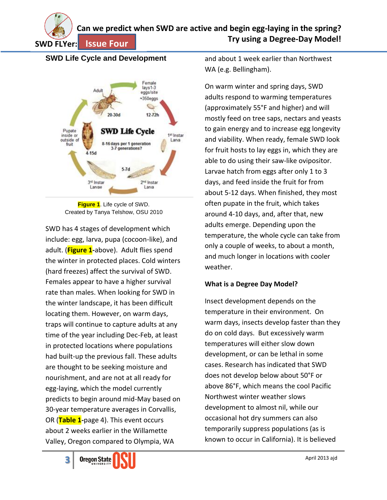**SWD FLYer:**

#### **Can we predict when SWD are active and begin egg-laying in the spring? Try using a Degree-Day Model! Issue Four**

## **SWD Life Cycle and Development**



**Figure 1**. Life cycle of SWD. Created by Tanya Telshow, OSU 2010

SWD has 4 stages of development which include: egg, larva, pupa (cocoon-like), and adult. (**Figure 1-**above). Adult flies spend the winter in protected places. Cold winters (hard freezes) affect the survival of SWD. Females appear to have a higher survival rate than males. When looking for SWD in the winter landscape, it has been difficult locating them. However, on warm days, traps will continue to capture adults at any time of the year including Dec-Feb, at least in protected locations where populations had built-up the previous fall. These adults are thought to be seeking moisture and nourishment, and are not at all ready for egg-laying, which the model currently predicts to begin around mid-May based on 30-year temperature averages in Corvallis, OR (**Table 1-**page 4). This event occurs about 2 weeks earlier in the Willamette Valley, Oregon compared to Olympia, WA

and about 1 week earlier than Northwest WA (e.g. Bellingham).

On warm winter and spring days, SWD adults respond to warming temperatures (approximately 55°F and higher) and will mostly feed on tree saps, nectars and yeasts to gain energy and to increase egg longevity and viability. When ready, female SWD look for fruit hosts to lay eggs in, which they are able to do using their saw-like ovipositor. Larvae hatch from eggs after only 1 to 3 days, and feed inside the fruit for from about 5-12 days. When finished, they most often pupate in the fruit, which takes around 4-10 days, and, after that, new adults emerge. Depending upon the temperature, the whole cycle can take from only a couple of weeks, to about a month, and much longer in locations with cooler weather.

#### **What is a Degree Day Model?**

Insect development depends on the temperature in their environment. On warm days, insects develop faster than they do on cold days. But excessively warm temperatures will either slow down development, or can be lethal in some cases. Research has indicated that SWD does not develop below about 50°F or above 86°F, which means the cool Pacific Northwest winter weather slows development to almost nil, while our occasional hot dry summers can also temporarily suppress populations (as is known to occur in California). It is believed

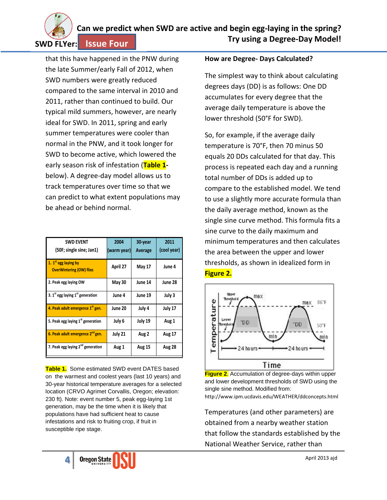

that this have happened in the PNW during the late Summer/early Fall of 2012, when SWD numbers were greatly reduced compared to the same interval in 2010 and 2011, rather than continued to build. Our typical mild summers, however, are nearly ideal for SWD. In 2011, spring and early summer temperatures were cooler than normal in the PNW, and it took longer for SWD to become active, which lowered the early season risk of infestation (**Table 1** below). A degree-day model allows us to track temperatures over time so that we can predict to what extent populations may be ahead or behind normal.

| <b>SWD EVENT</b><br>(50F; single sine; Jan1)                        | 2004<br>(warm year) | 30-year<br>Average | 2011<br>(cool year) |
|---------------------------------------------------------------------|---------------------|--------------------|---------------------|
| 1. 1 <sup>st</sup> egg laying by<br><b>OverWintering (OW) flies</b> | April 27            | <b>May 17</b>      | June 4              |
| 2. Peak egg laying OW                                               | <b>May 30</b>       | June 14            | June 28             |
| 3. $1st$ egg laying $1st$ generation                                | June 4              | June 19            | July 3              |
| 4. Peak adult emergence 1 <sup>st</sup> gen.                        | June 20             | July 4             | July 17             |
| 5. Peak egg laying 1 <sup>st</sup> generation                       | July 6              | July 19            | Aug 1               |
| 6. Peak adult emergence 2 <sup>nd</sup> gen.                        | July 21             | Aug 2              | <b>Aug 17</b>       |
| 7. Peak egg laying 2 <sup>nd</sup> generation                       | Aug 1               | <b>Aug 15</b>      | <b>Aug 28</b>       |

**Table 1.** Some estimated SWD event DATES based on the warmest and coolest years (last 10 years) and 30-year historical temperature averages for a selected location (CRVO Agrimet Corvallis, Oregon; elevation: 230 ft). Note: event number 5, peak egg-laying 1st generation, may be the time when it is likely that populations have had sufficient heat to cause infestations and risk to fruiting crop, if fruit in susceptible ripe stage.

#### **How are Degree- Days Calculated?**

The simplest way to think about calculating degrees days (DD) is as follows: One DD accumulates for every degree that the average daily temperature is above the lower threshold (50°F for SWD).

So, for example, if the average daily temperature is 70°F, then 70 minus 50 equals 20 DDs calculated for that day. This process is repeated each day and a running total number of DDs is added up to compare to the established model. We tend to use a slightly more accurate formula than the daily average method, known as the single sine curve method. This formula fits a sine curve to the daily maximum and minimum temperatures and then calculates the area between the upper and lower thresholds, as shown in idealized form in **Figure 2.**



**Figure 2**. Accumulation of degree-days within upper and lower development thresholds of SWD using the single sine method. Modified from: http://www.ipm.ucdavis.edu/WEATHER/ddconcepts.html

Temperatures (and other parameters) are obtained from a nearby weather station that follow the standards established by the National Weather Service, rather than

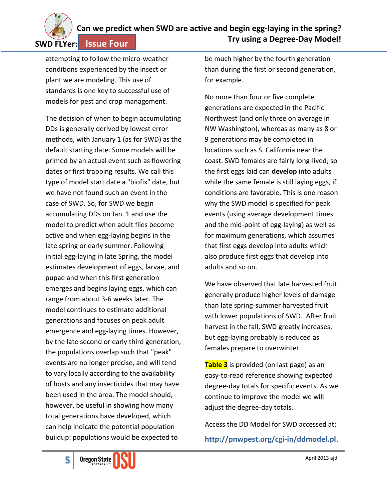

#### **Can we predict when SWD are active and begin egg-laying in the spring? Try using a Degree-Day Model! Issue Four**

attempting to follow the micro-weather conditions experienced by the insect or plant we are modeling. This use of standards is one key to successful use of models for pest and crop management.

The decision of when to begin accumulating DDs is generally derived by lowest error methods, with January 1 (as for SWD) as the default starting date. Some models will be primed by an actual event such as flowering dates or first trapping results. We call this type of model start date a "biofix" date, but we have not found such an event in the case of SWD. So, for SWD we begin accumulating DDs on Jan. 1 and use the model to predict when adult flies become active and when egg-laying begins in the late spring or early summer. Following initial egg-laying in late Spring, the model estimates development of eggs, larvae, and pupae and when this first generation emerges and begins laying eggs, which can range from about 3-6 weeks later. The model continues to estimate additional generations and focuses on peak adult emergence and egg-laying times. However, by the late second or early third generation, the populations overlap such that "peak" events are no longer precise, and will tend to vary locally according to the availability of hosts and any insecticides that may have been used in the area. The model should, however, be useful in showing how many total generations have developed, which can help indicate the potential population buildup: populations would be expected to

be much higher by the fourth generation than during the first or second generation, for example.

No more than four or five complete generations are expected in the Pacific Northwest (and only three on average in NW Washington), whereas as many as 8 or 9 generations may be completed in locations such as S. California near the coast. SWD females are fairly long-lived; so the first eggs laid can **develop** into adults while the same female is still laying eggs, if conditions are favorable. This is one reason why the SWD model is specified for peak events (using average development times and the mid-point of egg-laying) as well as for maximum generations, which assumes that first eggs develop into adults which also produce first eggs that develop into adults and so on.

We have observed that late harvested fruit generally produce higher levels of damage than late spring-summer harvested fruit with lower populations of SWD. After fruit harvest in the fall, SWD greatly increases, but egg-laying probably is reduced as females prepare to overwinter.

**Table 3** is provided (on last page) as an easy-to-read reference showing expected degree-day totals for specific events. As we continue to improve the model we will adjust the degree-day totals.

Access the DD Model for SWD accessed at: **http://pnwpest.org/cgi-in/ddmodel.pl.**

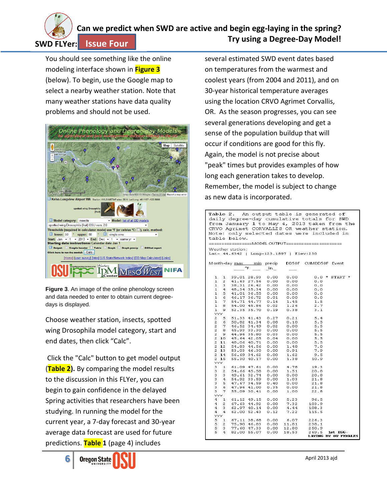

# **Can we predict when SWD are active and begin egg-laying in the spring? Try using a Degree-Day Model!**

**Issue Four**

You should see something like the online modeling interface shown in **Figure 3** (below). To begin, use the Google map to select a nearby weather station. Note that many weather stations have data quality problems and should not be used.



**Figure 3**. An image of the online phenology screen and data needed to enter to obtain current degreedays is displayed.

Choose weather station, insects, spotted wing Drosophila model category, start and end dates, then click "Calc".

Click the "Calc" button to get model output (**Table 2).** By comparing the model results to the discussion in this FLYer, you can begin to gain confidence in the delayed Spring activities that researchers have been studying. In running the model for the current year, a 7-day forecast and 30-year average data forecast are used for future predictions. **Table 1** (page 4) includes



several estimated SWD event dates based on temperatures from the warmest and coolest years (from 2004 and 2011), and on 30-year historical temperature averages using the location CRVO Agrimet Corvallis, OR. As the season progresses, you can see several generations developing and get a sense of the population buildup that will occur if conditions are good for this fly. Again, the model is not precise about "peak" times but provides examples of how long each generation takes to develop. Remember, the model is subject to change as new data is incorporated.

|                                                                                                                                                       |                |                                              |             |       |                                                                                                                                                                                                                                                   | Table 2. An output table is generated of             |                                              |
|-------------------------------------------------------------------------------------------------------------------------------------------------------|----------------|----------------------------------------------|-------------|-------|---------------------------------------------------------------------------------------------------------------------------------------------------------------------------------------------------------------------------------------------------|------------------------------------------------------|----------------------------------------------|
|                                                                                                                                                       |                |                                              |             |       |                                                                                                                                                                                                                                                   | daily degree-day cumulative totals for SWD           |                                              |
|                                                                                                                                                       |                |                                              |             |       |                                                                                                                                                                                                                                                   |                                                      | from January 1 to May 4, 2013 taken from the |
|                                                                                                                                                       |                |                                              |             |       |                                                                                                                                                                                                                                                   |                                                      |                                              |
|                                                                                                                                                       |                |                                              |             |       |                                                                                                                                                                                                                                                   | CRVO Agrimet CORVALLIS OR weather station.           |                                              |
| Note: only selected dates were included in                                                                                                            |                |                                              |             |       |                                                                                                                                                                                                                                                   |                                                      |                                              |
|                                                                                                                                                       |                | table below.                                 |             |       |                                                                                                                                                                                                                                                   |                                                      |                                              |
|                                                                                                                                                       |                |                                              |             |       |                                                                                                                                                                                                                                                   | ==================MODEL OUTPUT====================== |                                              |
|                                                                                                                                                       |                |                                              |             |       |                                                                                                                                                                                                                                                   |                                                      |                                              |
|                                                                                                                                                       |                | Weather station:                             |             |       |                                                                                                                                                                                                                                                   |                                                      |                                              |
|                                                                                                                                                       |                |                                              |             |       | Lat- 44.6342   Long-123.1897   Elev:230                                                                                                                                                                                                           |                                                      |                                              |
|                                                                                                                                                       |                |                                              |             |       |                                                                                                                                                                                                                                                   |                                                      |                                              |
|                                                                                                                                                       |                |                                              |             |       |                                                                                                                                                                                                                                                   | Month-day max min precip DD50F CUMDD50F Event        |                                              |
|                                                                                                                                                       |                | $^{\circ}$ F                                 |             | $\ln$ |                                                                                                                                                                                                                                                   |                                                      |                                              |
|                                                                                                                                                       |                |                                              |             |       |                                                                                                                                                                                                                                                   |                                                      |                                              |
|                                                                                                                                                       |                | 1 1 39.01 28.93 0.00 0.00                    |             |       |                                                                                                                                                                                                                                                   |                                                      | $0.0$ * START *                              |
|                                                                                                                                                       |                |                                              |             |       |                                                                                                                                                                                                                                                   | 0.0                                                  |                                              |
|                                                                                                                                                       |                |                                              |             |       |                                                                                                                                                                                                                                                   | 0.0                                                  |                                              |
|                                                                                                                                                       |                |                                              |             |       |                                                                                                                                                                                                                                                   | 0.0                                                  |                                              |
|                                                                                                                                                       |                |                                              |             |       |                                                                                                                                                                                                                                                   | 0.0                                                  |                                              |
|                                                                                                                                                       |                |                                              |             |       |                                                                                                                                                                                                                                                   | 0.0                                                  |                                              |
|                                                                                                                                                       |                |                                              |             |       |                                                                                                                                                                                                                                                   | 1.5                                                  |                                              |
|                                                                                                                                                       |                |                                              |             |       | $\begin{array}{cccc} 1&2&41.63&27.56&0.00&0.00\\ 1&3&36.31&26.42&0.00&0.00\\ 1&4&46.34&35.34&0.00&0.00\\ 1&4&46.17&36.55&0.00&0.00\\ 1&5&44.01&36.55&0.00&0.00\\ 1&7&54.71&44.77&0.16&1.45\\ 1&8&54.00&45.66&0.02&1.26\\ 1&8&54.00&45.66&0.02&1.$ | 2.7                                                  |                                              |
|                                                                                                                                                       |                |                                              |             |       | 1 9 52.35 35.70 0.19 0.38                                                                                                                                                                                                                         | 3.1                                                  |                                              |
|                                                                                                                                                       | <b>YYY</b>     |                                              |             |       |                                                                                                                                                                                                                                                   |                                                      |                                              |
| 2                                                                                                                                                     |                | 5 51.33 41.43 0.27 0.21                      |             |       |                                                                                                                                                                                                                                                   | 5.4                                                  |                                              |
| $\frac{6}{2}$                                                                                                                                         | 6              |                                              | 50.82 41.34 | 0.08  | 0.10                                                                                                                                                                                                                                              | 5.5                                                  |                                              |
|                                                                                                                                                       |                | 2 7 46.52 34.49 0.02                         |             |       |                                                                                                                                                                                                                                                   | 5.5                                                  |                                              |
|                                                                                                                                                       |                | 2 8 45.93 33.30 0.00                         |             |       | 0.00                                                                                                                                                                                                                                              | 5.5                                                  |                                              |
|                                                                                                                                                       |                |                                              |             |       | 2 9 44.96 35.80 0.03 0.00<br>2 10 45.64 42.05 0.04 0.00<br>2 11 48.06 40.71 0.00 0.00<br>2 12 54.83 44.56 0.00 0.00<br>2 14 56.69 34.62 0.00 1.62<br>2 14 56.69 34.62 0.00 1.62                                                                   | 5.5                                                  |                                              |
|                                                                                                                                                       |                |                                              |             |       |                                                                                                                                                                                                                                                   | 5.5                                                  |                                              |
|                                                                                                                                                       |                |                                              |             |       |                                                                                                                                                                                                                                                   | 5.5                                                  |                                              |
|                                                                                                                                                       |                |                                              |             |       |                                                                                                                                                                                                                                                   | 7.0                                                  |                                              |
|                                                                                                                                                       |                |                                              |             |       |                                                                                                                                                                                                                                                   | 7.9                                                  |                                              |
|                                                                                                                                                       |                |                                              |             |       |                                                                                                                                                                                                                                                   | 9.5                                                  |                                              |
|                                                                                                                                                       |                | 2 15 55.30 40.17                             |             | 0.00  | 1.38                                                                                                                                                                                                                                              | 10.9                                                 |                                              |
|                                                                                                                                                       | <b>VVV</b>     |                                              |             |       |                                                                                                                                                                                                                                                   |                                                      |                                              |
| з                                                                                                                                                     |                |                                              |             |       | 1 61.09 47.61 0.00 4.78                                                                                                                                                                                                                           | 19.3                                                 |                                              |
|                                                                                                                                                       |                | 3 2 54.66 45.58                              |             | 0.00  | 1.51                                                                                                                                                                                                                                              | 20.8                                                 |                                              |
|                                                                                                                                                       |                |                                              |             |       |                                                                                                                                                                                                                                                   | 20.8                                                 |                                              |
|                                                                                                                                                       |                | 3 3 49.61 32.74 0.00<br>3 4 54.92 33.59 0.00 |             |       | $0.00$<br>$1.03$                                                                                                                                                                                                                                  | 21.8                                                 |                                              |
|                                                                                                                                                       | 3 <sub>5</sub> |                                              |             |       |                                                                                                                                                                                                                                                   | 21.8                                                 |                                              |
| $3 -$                                                                                                                                                 |                |                                              |             |       |                                                                                                                                                                                                                                                   | 21.8                                                 |                                              |
| 3                                                                                                                                                     |                |                                              |             |       |                                                                                                                                                                                                                                                   | 22.8                                                 |                                              |
| $\begin{array}{cccc} 5 & 47.67 & 34.59 & 0.40 & 0.00 \\ 6 & 47.96 & 41.00 & 0.35 & 0.00 \\ 7 & 55.09 & 30.41 & 0.00 & 1.00 \end{array}$<br><b>YYY</b> |                |                                              |             |       |                                                                                                                                                                                                                                                   |                                                      |                                              |
|                                                                                                                                                       |                |                                              |             |       |                                                                                                                                                                                                                                                   | 96.5                                                 |                                              |
|                                                                                                                                                       |                |                                              |             |       | 4 1 61.12 49.15 0.00 5.23<br>4 2 67.63 44.92 0.00 7.32                                                                                                                                                                                            | 103.9                                                |                                              |
|                                                                                                                                                       | $4 \quad 3$    |                                              | 62.97 40.14 | 0.00  | 4.44                                                                                                                                                                                                                                              | 108.3                                                |                                              |
| 4                                                                                                                                                     |                |                                              |             |       | 4 62.00 52.43 0.12 7.22                                                                                                                                                                                                                           | 115.5                                                |                                              |
| <b>VVV</b>                                                                                                                                            |                |                                              |             |       |                                                                                                                                                                                                                                                   |                                                      |                                              |
| 5                                                                                                                                                     |                |                                              |             |       | 1 67.11 38.68 0.00 6.07                                                                                                                                                                                                                           | 226.3                                                |                                              |
|                                                                                                                                                       |                |                                              |             |       |                                                                                                                                                                                                                                                   | 238.1                                                |                                              |
|                                                                                                                                                       |                |                                              |             |       |                                                                                                                                                                                                                                                   | 250.9                                                |                                              |
|                                                                                                                                                       |                | 5 4 82.00 55.07                              |             | 0.00  | 18.53                                                                                                                                                                                                                                             | 269.5                                                | 1st EGG-                                     |
|                                                                                                                                                       |                |                                              |             |       |                                                                                                                                                                                                                                                   |                                                      | <b>LAYING BY OW FEMALES</b>                  |